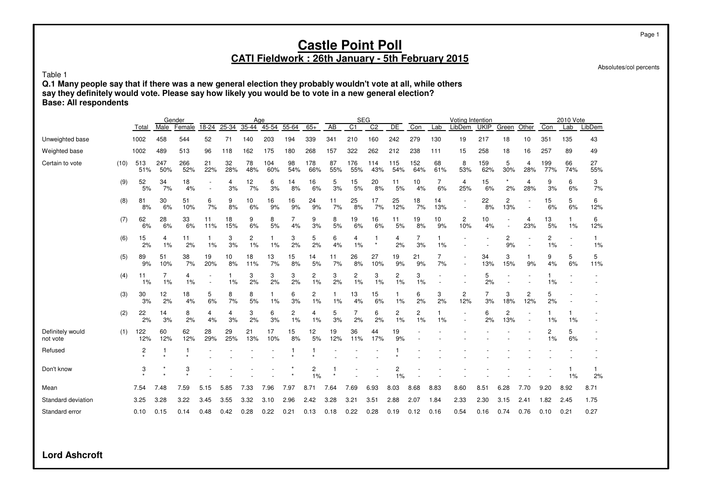Absolutes/col percents

Table 1

**Q.1 Many people say that if there was a new general election they probably wouldn't vote at all, while others say they definitely would vote. Please say how likely you would be to vote in a new general election? Base: All respondents**

|                              |      |            | Gender     |            |                          |           | Age                  |            |                      |                      |                 | <b>SEG</b>      |                |            |            |           | Voting Intention      |                        |                       |                          |                      | 2010 Vote |           |
|------------------------------|------|------------|------------|------------|--------------------------|-----------|----------------------|------------|----------------------|----------------------|-----------------|-----------------|----------------|------------|------------|-----------|-----------------------|------------------------|-----------------------|--------------------------|----------------------|-----------|-----------|
|                              |      | Total      | Male       | Female     | 18-24                    | 25-34     | $35 - 44$            | 45-54      | 55-64                | $65+$                | $\overline{AB}$ | $\overline{C1}$ | C <sub>2</sub> | DE         | Con        | Lab       | LibDem                | <b>UKIP</b>            | Green                 | Other                    | Con                  | Lab       | LibDem    |
| Unweighted base              |      | 1002       | 458        | 544        | 52                       | 71        | 140                  | 203        | 194                  | 339                  | 341             | 210             | 160            | 242        | 279        | 130       | 19                    | 217                    | 18                    | 10                       | 351                  | 135       | 43        |
| Weighted base                |      | 1002       | 489        | 513        | 96                       | 118       | 162                  | 175        | 180                  | 268                  | 157             | 322             | 262            | 212        | 238        | 111       | 15                    | 258                    | 18                    | 16                       | 257                  | 89        | 49        |
| Certain to vote              | (10) | 513<br>51% | 247<br>50% | 266<br>52% | 21<br>22%                | 32<br>28% | 78<br>48%            | 104<br>60% | 98<br>54%            | 178<br>66%           | 87<br>55%       | 176<br>55%      | 114<br>43%     | 115<br>54% | 152<br>64% | 68<br>61% | 8<br>53%              | 159<br>62%             | 5<br>30%              | 4<br>28%                 | 199<br>77%           | 66<br>74% | 27<br>55% |
|                              | (9)  | 52<br>5%   | 34<br>7%   | 18<br>4%   | $\overline{\phantom{a}}$ | 4<br>3%   | 12<br>7%             | 6<br>3%    | 14<br>8%             | 16<br>6%             | 5<br>3%         | 15<br>5%        | 20<br>8%       | 11<br>5%   | 10<br>4%   | 7<br>6%   | 4<br>25%              | 15<br>6%               | 2%                    | 4<br>28%                 | 9<br>3%              | 6<br>6%   | 3<br>7%   |
|                              | (8)  | 81<br>8%   | 30<br>6%   | 51<br>10%  | 6<br>7%                  | 9<br>8%   | 10<br>6%             | 16<br>9%   | 16<br>9%             | 24<br>9%             | 11<br>7%        | 25<br>8%        | 17<br>7%       | 25<br>12%  | 18<br>7%   | 14<br>13% |                       | 22<br>8%               | $\overline{c}$<br>13% |                          | 15<br>6%             | 5<br>6%   | 6<br>12%  |
|                              | (7)  | 62<br>6%   | 28<br>6%   | 33<br>6%   | 11<br>11%                | 18<br>15% | 9<br>6%              | 8<br>5%    | 7<br>4%              | 9<br>3%              | 8<br>5%         | 19<br>6%        | 16<br>6%       | 11<br>5%   | 19<br>8%   | 10<br>9%  | $\overline{c}$<br>10% | 10 <sup>10</sup><br>4% |                       | 4<br>23%                 | 13<br>5%             | 1<br>1%   | 6<br>12%  |
|                              | (6)  | 15<br>2%   | 4<br>1%    | 11<br>2%   | 1%                       | 3<br>3%   | $\overline{c}$<br>1% | 1%         | 3<br>2%              | 5<br>2%              | 6<br>4%         | 4<br>1%         | $\star$        | 4<br>2%    | 3%         | 1%        |                       |                        | 2<br>9%               |                          | $\overline{c}$<br>1% |           | 1.<br>1%  |
|                              | (5)  | 89<br>9%   | 51<br>10%  | 38<br>7%   | 19<br>20%                | 10<br>8%  | 18<br>11%            | 13<br>7%   | 15<br>8%             | 14<br>5%             | 11<br>7%        | 26<br>8%        | 27<br>10%      | 19<br>9%   | 21<br>9%   | 7%        |                       | 34<br>13%              | 3<br>15%              | 9%                       | 9<br>4%              | 5<br>6%   | 5<br>11%  |
|                              | (4)  | 11<br>1%   | 7<br>1%    | 4<br>1%    |                          | 1<br>1%   | 3<br>2%              | 3<br>2%    | 3<br>2%              | 2<br>1%              | 3<br>2%         | 2<br>1%         | 3<br>1%        | 2<br>1%    | 3<br>1%    |           |                       | 5<br>2%                |                       |                          | 1<br>1%              |           |           |
|                              | (3)  | 30<br>3%   | 12<br>2%   | 18<br>4%   | 5<br>6%                  | 8<br>7%   | 8<br>5%              | 1%         | 6<br>3%              | 2<br>1%              | 1%              | 13<br>4%        | 15<br>6%       | 1<br>1%    | 6<br>2%    | 3<br>2%   | 2<br>12%              | 3%                     | 3<br>18%              | 2<br>12%                 | 5<br>2%              |           |           |
|                              | (2)  | 22<br>2%   | 14<br>3%   | 8<br>2%    | 4<br>4%                  | 4<br>3%   | 3<br>2%              | 6<br>3%    | $\overline{c}$<br>1% | 4<br>1%              | 5<br>3%         | 7<br>2%         | 6<br>2%        | 2<br>1%    | 2<br>1%    | 1%        |                       | 6<br>2%                | $\overline{c}$<br>13% | $\overline{\phantom{a}}$ | 1%                   | 1%        |           |
| Definitely would<br>not vote | (1)  | 122<br>12% | 60<br>12%  | 62<br>12%  | 28<br>29%                | 29<br>25% | 21<br>13%            | 17<br>10%  | 15<br>8%             | 12<br>5%             | 19<br>12%       | 36<br>11%       | 44<br>17%      | 19<br>9%   |            |           |                       |                        |                       |                          | 2<br>1%              | 5<br>6%   |           |
| Refused                      |      | 2          | 1          |            |                          |           |                      |            |                      |                      |                 |                 |                |            |            |           |                       |                        |                       |                          |                      |           |           |
| Don't know                   |      | 3          | $\star$    | 3          |                          |           |                      |            |                      | $\overline{c}$<br>1% |                 |                 |                | 2<br>1%    |            |           |                       |                        |                       |                          |                      | 1%        | 1<br>2%   |
| Mean                         |      | 7.54       | 7.48       | 7.59       | 5.15                     | 5.85      | 7.33                 | 7.96       | 7.97                 | 8.71                 | 7.64            | 7.69            | 6.93           | 8.03       | 8.68       | 8.83      | 8.60                  | 8.51                   | 6.28                  | 7.70                     | 9.20                 | 8.92      | 8.71      |
| Standard deviation           |      | 3.25       | 3.28       | 3.22       | 3.45                     | 3.55      | 3.32                 | 3.10       | 2.96                 | 2.42                 | 3.28            | 3.21            | 3.51           | 2.88       | 2.07       | 1.84      | 2.33                  | 2.30                   | 3.15                  | 2.41                     | 1.82                 | 2.45      | 1.75      |
| Standard error               |      | 0.10       | 0.15       | 0.14       | 0.48                     | 0.42      | 0.28                 | 0.22       | 0.21                 | 0.13                 | 0.18            | 0.22            | 0.28           | 0.19       | 0.12       | 0.16      | 0.54                  | 0.16                   | 0.74                  | 0.76                     | 0.10                 | 0.21      | 0.27      |

**Lord Ashcroft**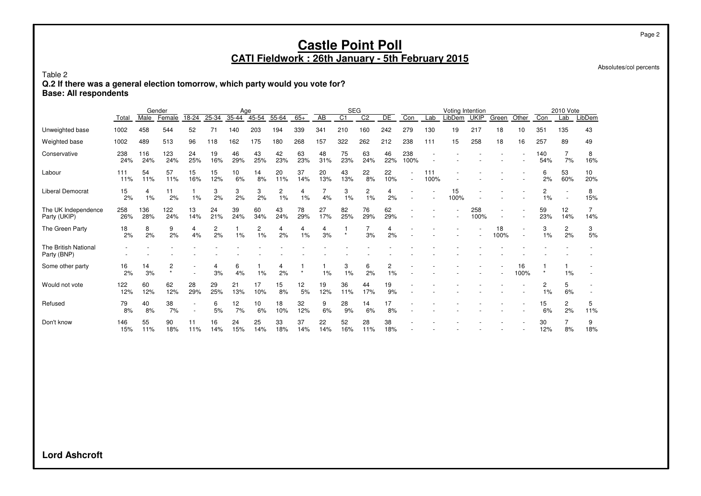Absolutes/col percents

Table 2

**Q.2 If there was a general election tomorrow, which party would you vote for?**

**Base: All respondents**

|                                     |            |            | Gender       |           |           | Age       |           |           |           |           | <b>SEG</b>     |                |           |             |                          | Voting Intention |             |            |            |            | 2010 Vote                |           |
|-------------------------------------|------------|------------|--------------|-----------|-----------|-----------|-----------|-----------|-----------|-----------|----------------|----------------|-----------|-------------|--------------------------|------------------|-------------|------------|------------|------------|--------------------------|-----------|
|                                     | Total      | Male       | Female       | 18-24     | 25-34     | 35-44     | 45-54     | 55-64     | $65+$     | AB        | C <sub>1</sub> | C <sub>2</sub> | DE        | Con         | Lab                      | LibDem           | <b>UKIP</b> | Green      | Other      | Con        | Lab                      | LibDem    |
| Unweighted base                     | 1002       | 458        | 544          | 52        | 71        | 140       | 203       | 194       | 339       | 341       | 210            | 160            | 242       | 279         | 130                      | 19               | 217         | 18         | 10         | 351        | 135                      | 43        |
| Weighted base                       | 1002       | 489        | 513          | 96        | 118       | 162       | 175       | 180       | 268       | 157       | 322            | 262            | 212       | 238         | 111                      | 15               | 258         | 18         | 16         | 257        | 89                       | 49        |
| Conservative                        | 238<br>24% | 116<br>24% | 123<br>24%   | 24<br>25% | 19<br>16% | 46<br>29% | 43<br>25% | 42<br>23% | 63<br>23% | 48<br>31% | 75<br>23%      | 63<br>24%      | 46<br>22% | 238<br>100% |                          |                  |             |            |            | 140<br>54% | 7<br>7%                  | 8<br>16%  |
| Labour                              | 111<br>11% | 54<br>11%  | 57<br>11%    | 15<br>16% | 15<br>12% | 10<br>6%  | 14<br>8%  | 20<br>11% | 37<br>14% | 20<br>13% | 43<br>13%      | 22<br>8%       | 22<br>10% |             | 111<br>100%              |                  |             |            |            | 6<br>2%    | 53<br>60%                | 10<br>20% |
| Liberal Democrat                    | 15<br>2%   | 4<br>1%    | 11<br>2%     | 1%        | 3<br>2%   | 3<br>2%   | 3<br>2%   | 2<br>1%   | 4<br>1%   | 4%        | 3<br>1%        | 2<br>1%        | 4<br>2%   |             | $\overline{\phantom{a}}$ | 15<br>100%       |             |            |            | 2<br>1%    | $\overline{\phantom{a}}$ | 8<br>15%  |
| The UK Independence<br>Party (UKIP) | 258<br>26% | 136<br>28% | 122<br>24%   | 13<br>14% | 24<br>21% | 39<br>24% | 60<br>34% | 43<br>24% | 78<br>29% | 27<br>17% | 82<br>25%      | 76<br>29%      | 62<br>29% |             |                          |                  | 258<br>100% |            |            | 59<br>23%  | 12<br>14%                | 14%       |
| The Green Party                     | 18<br>2%   | 8<br>2%    | 9<br>2%      | 4<br>4%   | 2<br>2%   | 1%        | 2<br>1%   | 4<br>2%   | 4<br>1%   | 4<br>3%   | $\star$        | 3%             | 4<br>2%   |             |                          |                  |             | 18<br>100% |            | 3<br>1%    | $\overline{c}$<br>2%     | 3<br>5%   |
| The British National<br>Party (BNP) |            |            |              |           |           |           |           |           |           |           |                |                |           |             |                          |                  |             |            |            |            |                          |           |
| Some other party                    | 16<br>2%   | 14<br>3%   | 2<br>$\star$ |           | 4<br>3%   | 6<br>4%   | 1%        | 4<br>2%   |           | 1%        | 3<br>1%        | 6<br>2%        | 2<br>1%   |             |                          |                  |             |            | 16<br>100% |            | 1%                       |           |
| Would not vote                      | 122<br>12% | 60<br>12%  | 62<br>12%    | 28<br>29% | 29<br>25% | 21<br>13% | 17<br>10% | 15<br>8%  | 12<br>5%  | 19<br>12% | 36<br>11%      | 44<br>17%      | 19<br>9%  |             |                          |                  |             |            |            | 2<br>$1\%$ | 5<br>6%                  |           |
| Refused                             | 79<br>8%   | 40<br>8%   | 38<br>7%     |           | 6<br>5%   | 12<br>7%  | 10<br>6%  | 18<br>10% | 32<br>12% | 9<br>6%   | 28<br>9%       | 14<br>6%       | 17<br>8%  |             |                          |                  |             |            |            | 15<br>6%   | $\overline{2}$<br>2%     | 5<br>11%  |
| Don't know                          | 146<br>15% | 55<br>11%  | 90<br>18%    | 11<br>11% | 16<br>14% | 24<br>15% | 25<br>14% | 33<br>18% | 37<br>14% | 22<br>14% | 52<br>16%      | 28<br>11%      | 38<br>18% |             |                          |                  |             |            |            | 30<br>12%  | 7<br>8%                  | 9<br>18%  |

**Lord Ashcroft**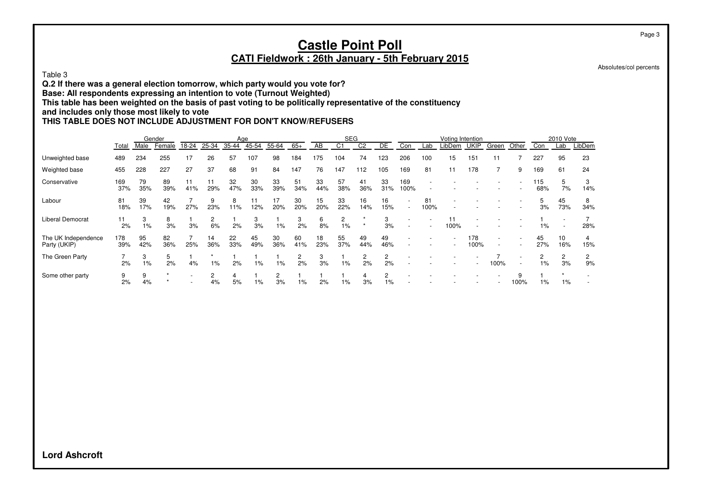#### Page 3

#### **Castle Point Poll CATI Fieldwork : 26th January - 5th February 2015**

Absolutes/col percents

Table 3

**Q.2 If there was a general election tomorrow, which party would you vote for?**

**Base: All respondents expressing an intention to vote (Turnout Weighted)**

**This table has been weighted on the basis of past voting to be politically representative of the constituency**

#### **and includes only those most likely to vote**

#### **THIS TABLE DOES NOT INCLUDE ADJUSTMENT FOR DON'T KNOW/REFUSERS**

|                                     |            |           | Gender    |           |                      | Age       |           |           |           |           | <b>SEG</b> |                      |                         |                          |                          | Voting Intention |             |                                                      |                                                      |            | 2010 Vote |          |
|-------------------------------------|------------|-----------|-----------|-----------|----------------------|-----------|-----------|-----------|-----------|-----------|------------|----------------------|-------------------------|--------------------------|--------------------------|------------------|-------------|------------------------------------------------------|------------------------------------------------------|------------|-----------|----------|
|                                     | Total      | Male      | Female    | 18-24     | 25-34                | 35-44     | 45-54     | 55-64     | $65+$     | AB        | C1         | C <sub>2</sub>       | DE                      | Con                      | Lab                      | LibDem           | <b>UKIP</b> | Green                                                | Other                                                | Con        | Lab       | LibDem   |
| Unweighted base                     | 489        | 234       | 255       | 17        | 26                   | 57        | 107       | 98        | 184       | 175       | 104        | 74                   | 123                     | 206                      | 100                      | 15               | 151         | 11                                                   |                                                      | 227        | 95        | 23       |
| Weighted base                       | 455        | 228       | 227       | 27        | 37                   | 68        | 91        | 84        | 147       | 76        | 147        | 112                  | 105                     | 169                      | 81                       | 11               | 178         |                                                      | 9                                                    | 169        | 61        | 24       |
| Conservative                        | 169<br>37% | 79<br>35% | 89<br>39% | 11<br>41% | 11<br>29%            | 32<br>47% | 30<br>33% | 33<br>39% | 51<br>34% | 33<br>44% | 57<br>38%  | 41<br>36%            | 33<br>31%               | 169<br>100%              | $\overline{\phantom{a}}$ |                  |             |                                                      |                                                      | 115<br>68% | 5<br>7%   | 3<br>14% |
| Labour                              | 81<br>18%  | 39<br>17% | 42<br>19% | 27%       | 9<br>23%             | 8<br>11%  | 11<br>12% | 17<br>20% | 30<br>20% | 15<br>20% | 33<br>22%  | 16<br>14%            | 16<br>15%               | $\overline{\phantom{a}}$ | 81<br>100%               |                  |             |                                                      |                                                      | 5<br>3%    | 45<br>73% | 8<br>34% |
| Liberal Democrat                    | 11<br>2%   | 3<br>1%   | 8<br>3%   | 3%        | $\overline{2}$<br>6% | 2%        | 3<br>3%   | $1\%$     | 3<br>2%   | 6<br>8%   | 2<br>$1\%$ |                      | 3<br>3%                 | $\overline{\phantom{a}}$ | $\overline{\phantom{a}}$ | 11<br>100%       |             |                                                      |                                                      | $1\%$      |           | 28%      |
| The UK Independence<br>Party (UKIP) | 178<br>39% | 95<br>42% | 82<br>36% | 25%       | 14<br>36%            | 22<br>33% | 45<br>49% | 30<br>36% | 60<br>41% | 18<br>23% | 55<br>37%  | 49<br>44%            | 49<br>46%               |                          |                          |                  | 178<br>100% | $\overline{\phantom{a}}$<br>$\overline{\phantom{a}}$ |                                                      | 45<br>27%  | 10<br>16% | 4<br>15% |
| The Green Party                     | 2%         | 3<br>1%   | 5<br>2%   | 4%        | 1%                   | 2%        | $1\%$     | 1%        | 2<br>2%   | 3%        | 1%         | $\overline{2}$<br>2% | 2<br>2%                 |                          |                          |                  |             | 100%                                                 | $\overline{\phantom{a}}$<br>$\overline{\phantom{a}}$ | 2<br>$1\%$ | 2<br>3%   | 2<br>9%  |
| Some other party                    | 9<br>2%    | 9<br>4%   |           |           | $\mathcal{P}$<br>4%  | 4<br>5%   | 1%        | 2<br>3%   | 1%        | 2%        | 1%         | 4<br>3%              | $\overline{c}$<br>$1\%$ |                          |                          |                  |             |                                                      | 9<br>100%                                            | $1\%$      | 1%        |          |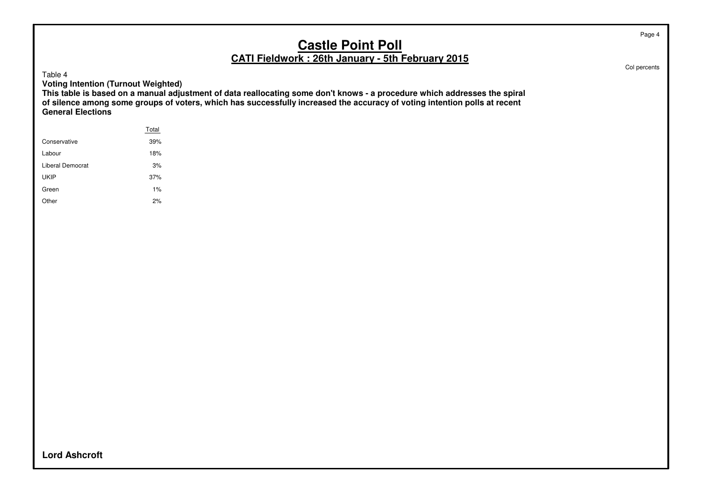Table 4

**Voting Intention (Turnout Weighted)**

**This table is based on a manual adjustment of data reallocating some don't knows - a procedure which addresses the spiral of silence among some groups of voters, which has successfully increased the accuracy of voting intention polls at recent General Elections**

|                  | Total |  |
|------------------|-------|--|
| Conservative     | 39%   |  |
| Labour           | 18%   |  |
| Liberal Democrat | 3%    |  |
| <b>UKIP</b>      | 37%   |  |
| Green            | $1\%$ |  |
| Other            | 2%    |  |
|                  |       |  |

Col percents

**Lord Ashcroft**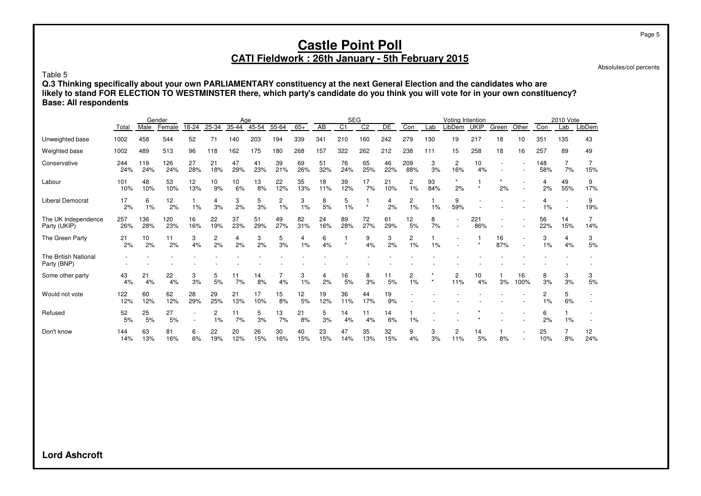Absolutes/col percents

Page 5

Table 5

**Q.3 Thinking specifically about your own PARLIAMENTARY constituency at the next General Election and the candidates who are likely to stand FOR ELECTION TO WESTMINSTER there, which party's candidate do you think you will vote for in your own constituency? Base: All respondents**

|                                     |            |            | Gender     |           |                      | Age       |           |           |           |           | <b>SEG</b>     |                 |           |            |           | Voting Intention      |                        |           |            |            | 2010 Vote |           |
|-------------------------------------|------------|------------|------------|-----------|----------------------|-----------|-----------|-----------|-----------|-----------|----------------|-----------------|-----------|------------|-----------|-----------------------|------------------------|-----------|------------|------------|-----------|-----------|
|                                     | Total      | Male       | Female     | 18-24     | 25-34                | 35-44     | $45 - 54$ | 55-64     | $65+$     | AB        | C <sub>1</sub> | $\overline{C2}$ | DE        | Con        | Lab       | LibDem                | <b>UKIP</b>            | Green     | Other      | Con        | Lab       | LibDem    |
| Unweighted base                     | 1002       | 458        | 544        | 52        | 71                   | 140       | 203       | 194       | 339       | 341       | 210            | 160             | 242       | 279        | 130       | 19                    | 217                    | 18        | 10         | 351        | 135       | 43        |
| Weighted base                       | 1002       | 489        | 513        | 96        | 118                  | 162       | 175       | 180       | 268       | 157       | 322            | 262             | 212       | 238        | 111       | 15                    | 258                    | 18        | 16         | 257        | 89        | 49        |
| Conservative                        | 244<br>24% | 119<br>24% | 126<br>24% | 27<br>28% | 21<br>18%            | 47<br>29% | 41<br>23% | 39<br>21% | 69<br>26% | 51<br>32% | 76<br>24%      | 65<br>25%       | 46<br>22% | 209<br>88% | 3<br>3%   | 2<br>16%              | 10<br>4%               |           |            | 148<br>58% | 7%        | 15%       |
| Labour                              | 101<br>10% | 48<br>10%  | 53<br>10%  | 12<br>13% | 10<br>9%             | 10<br>6%  | 13<br>8%  | 22<br>12% | 35<br>13% | 18<br>11% | 39<br>12%      | 17<br>7%        | 21<br>10% | 2<br>1%    | 93<br>84% | 2%                    |                        | 2%        |            | 4<br>2%    | 49<br>55% | 9<br>17%  |
| <b>Liberal Democrat</b>             | 17<br>2%   | 6<br>1%    | 12<br>2%   | 1%        | 4<br>3%              | 3<br>2%   | 5<br>3%   | 2<br>1%   | 3<br>1%   | 8<br>5%   | 5<br>1%        | $\star$         | 4<br>2%   | 2<br>1%    | 1%        | 9<br>59%              |                        |           |            | 1%         |           | 9<br>19%  |
| The UK Independence<br>Party (UKIP) | 257<br>26% | 136<br>28% | 120<br>23% | 16<br>16% | 22<br>19%            | 37<br>23% | 51<br>29% | 49<br>27% | 82<br>31% | 24<br>16% | 89<br>28%      | 72<br>27%       | 61<br>29% | 12<br>5%   | 8<br>7%   |                       | 221<br>86%             |           |            | 56<br>22%  | 14<br>15% | 14%       |
| The Green Party                     | 21<br>2%   | 10<br>2%   | 11<br>2%   | 3<br>4%   | $\overline{c}$<br>2% | 4<br>2%   | 3<br>2%   | 5<br>3%   | 4<br>1%   | 6<br>4%   | $\star$        | 9<br>4%         | 3<br>2%   | 2<br>1%    | 1%        |                       |                        | 16<br>87% |            | 3<br>1%    | 4<br>4%   | 3<br>5%   |
| The British National<br>Party (BNP) |            |            |            |           |                      |           |           |           |           |           |                |                 |           |            |           |                       |                        |           |            |            |           |           |
| Some other party                    | 43<br>4%   | 21<br>4%   | 22<br>4%   | 3<br>3%   | 5<br>5%              | 11<br>7%  | 14<br>8%  | 7<br>4%   | 3<br>1%   | 4<br>2%   | 16<br>5%       | 8<br>3%         | 11<br>5%  | 2<br>1%    | $\star$   | $\overline{2}$<br>11% | 10 <sup>10</sup><br>4% | 3%        | 16<br>100% | 8<br>3%    | 3<br>3%   | 3<br>5%   |
| Would not vote                      | 122<br>12% | 60<br>12%  | 62<br>12%  | 28<br>29% | 29<br>25%            | 21<br>13% | 17<br>10% | 15<br>8%  | 12<br>5%  | 19<br>12% | 36<br>11%      | 44<br>17%       | 19<br>9%  |            |           |                       |                        |           |            | 2<br>1%    | 5<br>6%   |           |
| Refused                             | 52<br>5%   | 25<br>5%   | 27<br>5%   |           | 2<br>1%              | 11<br>7%  | 5<br>3%   | 13<br>7%  | 21<br>8%  | 5<br>3%   | 14<br>4%       | 11<br>4%        | 14<br>6%  | 1%         |           |                       |                        |           |            | 6<br>2%    | 1%        |           |
| Don't know                          | 144<br>14% | 63<br>13%  | 81<br>16%  | 6<br>6%   | 22<br>19%            | 20<br>12% | 26<br>15% | 30<br>16% | 40<br>15% | 23<br>15% | 47<br>14%      | 35<br>13%       | 32<br>15% | 9<br>4%    | 3<br>3%   | 2<br>11%              | 14<br>5%               | 8%        |            | 25<br>10%  | 8%        | 12<br>24% |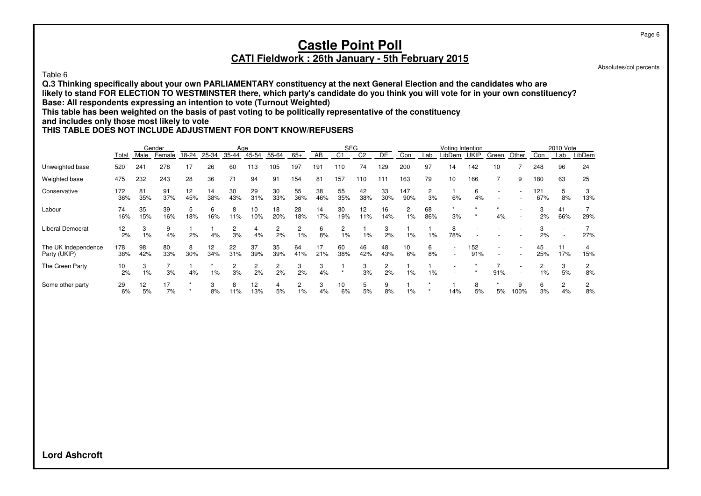#### Table 6

**Q.3 Thinking specifically about your own PARLIAMENTARY constituency at the next General Election and the candidates who are likely to stand FOR ELECTION TO WESTMINSTER there, which party's candidate do you think you will vote for in your own constituency? Base: All respondents expressing an intention to vote (Turnout Weighted)**

**This table has been weighted on the basis of past voting to be politically representative of the constituency**

#### **and includes only those most likely to vote**

#### **THIS TABLE DOES NOT INCLUDE ADJUSTMENT FOR DON'T KNOW/REFUSERS**

|                                     |            |           | Gender    |           |           | Age       |           |           |           |           | <b>SEG</b>              |                |           |                        |                      | Voting Intention |             |                          |                          |            | 2010 Vote            |         |
|-------------------------------------|------------|-----------|-----------|-----------|-----------|-----------|-----------|-----------|-----------|-----------|-------------------------|----------------|-----------|------------------------|----------------------|------------------|-------------|--------------------------|--------------------------|------------|----------------------|---------|
|                                     | Total      | Male      | Female    | 18-24     | 25-34     | 35-44     | 45-54     | 55-64     | $65+$     | AB        | C <sub>1</sub>          | C <sub>2</sub> | <b>DE</b> | Con                    | Lab                  | _ibDem           | <b>UKIP</b> | Green                    | Other                    | Con        | Lab                  | LibDem  |
| Unweighted base                     | 520        | 241       | 278       | 17        | 26        | 60        | 113       | 105       | 197       | 191       | 110                     | 74             | 129       | 200                    | 97                   | 14               | 142         | 10                       |                          | 248        | 96                   | 24      |
| Weighted base                       | 475        | 232       | 243       | 28        | 36        |           | 94        | 91        | 154       | 81        | 157                     | 110            | 111       | 163                    | 79                   | 10               | 166         |                          | 9                        | 180        | 63                   | 25      |
| Conservative                        | 172<br>36% | 81<br>35% | 91<br>37% | 12<br>45% | 14<br>38% | 30<br>43% | 29<br>31% | 30<br>33% | 55<br>36% | 38<br>46% | 55<br>35%               | 42<br>38%      | 33<br>30% | 147<br>90%             | $\overline{2}$<br>3% | 6%               | 6<br>4%     | $\overline{\phantom{a}}$ |                          | 121<br>67% | 5<br>8%              | 13%     |
| Labour                              | 74<br>16%  | 35<br>15% | 39<br>16% | 5<br>18%  | 6<br>16%  | 8<br>11%  | 10<br>10% | 18<br>20% | 28<br>18% | 14<br>17% | 30<br>19%               | 12<br>11%      | 16<br>14% | $\overline{2}$<br>1%   | 68<br>86%            | 3%               |             | 4%                       | $\overline{\phantom{a}}$ | 3<br>2%    | 41<br>66%            | 29%     |
| <b>Liberal Democrat</b>             | 12<br>2%   | 3<br>1%   | 9<br>4%   | 2%        | 4%        | 2<br>3%   | 4%        | 2<br>2%   | 1%        | 6<br>8%   | $\overline{c}$<br>$1\%$ | $1\%$          | 3<br>2%   | $1\%$                  | $1\%$                | 8<br>78%         |             |                          |                          | 2%         |                      | 27%     |
| The UK Independence<br>Party (UKIP) | 178<br>38% | 98<br>42% | 80<br>33% | 8<br>30%  | 12<br>34% | 22<br>31% | 37<br>39% | 35<br>39% | 64<br>41% | 17<br>21% | 60<br>38%               | 46<br>42%      | 48<br>43% | 10 <sup>10</sup><br>6% | 6<br>8%              |                  | 152<br>91%  | $\overline{\phantom{a}}$ | $\overline{\phantom{a}}$ | 45<br>25%  | 11<br>17%            | 15%     |
| The Green Party                     | 10<br>2%   | 3<br>1%   | 3%        | 4%        | $1\%$     | 2<br>3%   | 2<br>2%   | 2<br>2%   | 2%        | 3<br>4%   |                         | 3<br>3%        | 2<br>2%   | $1\%$                  | 1%                   |                  |             | 91%                      | $\overline{\phantom{a}}$ | $1\%$      | 3<br>5%              | 2<br>8% |
| Some other party                    | 29<br>6%   | 12<br>5%  | 17<br>7%  | 大         | 8%        | 8<br>11%  | 12<br>13% | 4<br>5%   | $1\%$     | 3<br>4%   | 10<br>6%                | 5<br>5%        | 9<br>8%   | 1%                     |                      | 14%              | 8<br>5%     | 5%                       | 9<br>100%                | 6<br>3%    | $\overline{c}$<br>4% | 8%      |

Page 6

Absolutes/col percents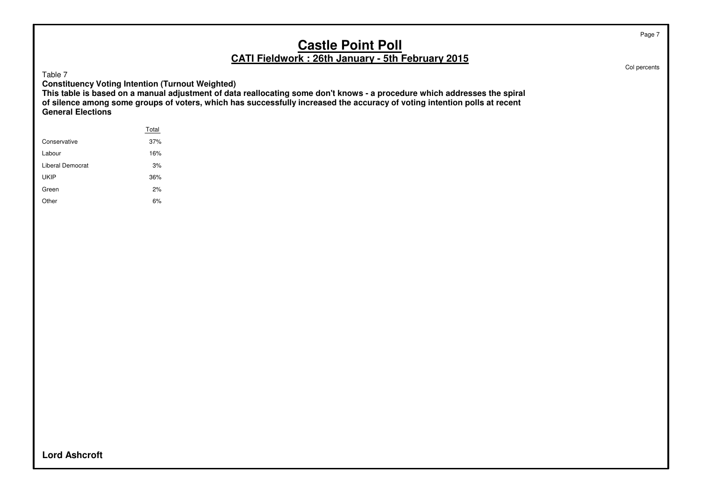Table 7

**Constituency Voting Intention (Turnout Weighted)**

**This table is based on a manual adjustment of data reallocating some don't knows - a procedure which addresses the spiral of silence among some groups of voters, which has successfully increased the accuracy of voting intention polls at recent General Elections**

| Total |  |
|-------|--|
| 37%   |  |
| 16%   |  |
| 3%    |  |
| 36%   |  |
| 2%    |  |
| 6%    |  |
|       |  |

Col percents

Page 7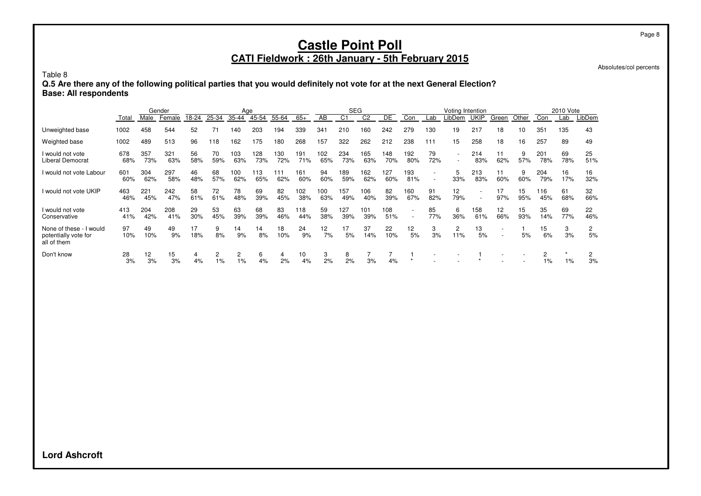Absolutes/col percents

Table 8

**Q.5 Are there any of the following political parties that you would definitely not vote for at the next General Election? Base: All respondents**

|                                                                |            |            | Gender     |           |            | Age        |            |            |            |            | <b>SEG</b> |                |            |            |           | Voting Intention         |             |           |           |            | 2010 Vote |           |
|----------------------------------------------------------------|------------|------------|------------|-----------|------------|------------|------------|------------|------------|------------|------------|----------------|------------|------------|-----------|--------------------------|-------------|-----------|-----------|------------|-----------|-----------|
|                                                                | Total      | Male       | Female     | 18-24     | 25-34      | 35-44      | 45-54      | 55-64      | $65+$      | AB         | C1         | C <sub>2</sub> | DE         | Con        | Lab       | _ibDem                   | <b>UKIP</b> | Green     | Other     | Con        | Lab       | LibDem    |
| Unweighted base                                                | 1002       | 458        | 544        | 52        | 71         | 140        | 203        | 194        | 339        | 341        | 210        | 160            | 242        | 279        | 130       | 19                       | 217         | 18        | 10        | 351        | 135       | 43        |
| Weighted base                                                  | 1002       | 489        | 513        | 96        | 118        | 162        | 175        | 180        | 268        | 157        | 322        | 262            | 212        | 238        | 111       | 15                       | 258         | 18        | 16        | 257        | 89        | 49        |
| I would not vote<br>Liberal Democrat                           | 678<br>68% | 357<br>73% | 321<br>63% | 56<br>58% | 70<br>59%  | 103<br>63% | 128<br>73% | 130<br>72% | 191<br>71% | 102<br>65% | 234<br>73% | 165<br>63%     | 148<br>70% | 192<br>80% | 79<br>72% | $\overline{\phantom{a}}$ | 214<br>83%  | 11<br>62% | 9<br>57%  | 201<br>78% | 69<br>78% | 25<br>51% |
| I would not vote Labour                                        | 601<br>60% | 304<br>62% | 297<br>58% | 46<br>48% | 68<br>57%  | 100<br>62% | 113<br>65% | 111<br>62% | 161<br>60% | 94<br>60%  | 189<br>59% | 162<br>62%     | 127<br>60% | 193<br>81% |           | 5<br>33%                 | 213<br>83%  | 11<br>60% | 9<br>60%  | 204<br>79% | 16<br>17% | 16<br>32% |
| I would not vote UKIP                                          | 463<br>46% | 221<br>45% | 242<br>47% | 58<br>61% | 72<br>61%  | 78<br>48%  | 69<br>39%  | 82<br>45%  | 102<br>38% | 100<br>63% | 157<br>49% | 106<br>40%     | 82<br>39%  | 160<br>67% | 91<br>82% | 12<br>79%                |             | 17<br>97% | 15<br>95% | 116<br>45% | 61<br>68% | 32<br>66% |
| I would not vote<br>Conservative                               | 413<br>41% | 204<br>42% | 208<br>41% | 29<br>30% | 53<br>45%  | 63<br>39%  | 68<br>39%  | 83<br>46%  | 118<br>44% | 59<br>38%  | 127<br>39% | 101<br>39%     | 108<br>51% |            | 85<br>77% | 6<br>36%                 | 158<br>61%  | 12<br>66% | 15<br>93% | 35<br>14%  | 69<br>77% | 22<br>46% |
| None of these - I would<br>potentially vote for<br>all of them | 97<br>10%  | 49<br>10%  | 49<br>9%   | 17<br>18% | 9<br>8%    | 14<br>9%   | 14<br>8%   | 18<br>10%  | 24<br>9%   | 12<br>7%   | 17<br>5%   | 37<br>14%      | 22<br>10%  | 12<br>5%   | 3<br>3%   | $\overline{c}$<br>11%    | 13<br>5%    |           | 5%        | 15<br>6%   | 3<br>3%   | 2<br>5%   |
| Don't know                                                     | 28<br>3%   | 12<br>3%   | 15<br>3%   | 4<br>4%   | 2<br>$1\%$ | 2<br>1%    | 6<br>4%    | 4<br>2%    | 10<br>4%   | 3<br>2%    | 8<br>2%    | 3%             | 4%         | $\star$    |           |                          |             |           |           | 2<br>$1\%$ | 1%        | 3%        |

**Lord Ashcroft**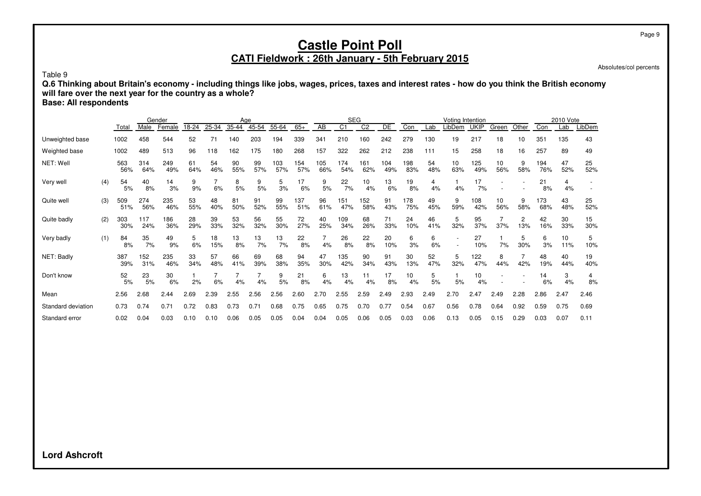Absolutes/col percents

Table 9

**Q.6 Thinking about Britain's economy - including things like jobs, wages, prices, taxes and interest rates - how do you think the British economy will fare over the next year for the country as a whole?**

**Base: All respondents**

|                    |     |            |            | Gender     |           |           |           | Age              |            |            |            |            | <b>SEG</b>      |            |            |           | Votina Intention |             |           |          |            | 2010 Vote |           |
|--------------------|-----|------------|------------|------------|-----------|-----------|-----------|------------------|------------|------------|------------|------------|-----------------|------------|------------|-----------|------------------|-------------|-----------|----------|------------|-----------|-----------|
|                    |     | Total      | Male       | Female     | 18-24     | 25-34     | $35 - 44$ | $45 - 54$        | 55-64      | $65+$      | AB         | C1         | $\overline{C2}$ | DE         | Con        | Lab       | .ibDem           | <b>UKIP</b> | Green     | Other    | Con        | Lab       | LibDem    |
| Unweighted base    |     | 1002       | 458        | 544        | 52        | 71        | 140       | 203              | 194        | 339        | 341        | 210        | 160             | 242        | 279        | 130       | 19               | 217         | 18        | 10       | 351        | 135       | 43        |
| Weighted base      |     | 1002       | 489        | 513        | 96        | 118       | 162       | 175              | 180        | 268        | 157        | 322        | 262             | 212        | 238        | 111       | 15               | 258         | 18        | 16       | 257        | 89        | 49        |
| NET: Well          |     | 563<br>56% | 314<br>64% | 249<br>49% | 61<br>64% | 54<br>46% | 90<br>55% | 99<br>57%        | 103<br>57% | 154<br>57% | 105<br>66% | 174<br>54% | 161<br>62%      | 104<br>49% | 198<br>83% | 54<br>48% | 10<br>63%        | 125<br>49%  | 10<br>56% | 9<br>58% | 194<br>76% | 47<br>52% | 25<br>52% |
| Very well          | (4) | 54<br>5%   | 40<br>8%   | 14<br>3%   | 9<br>9%   | 6%        | 8<br>5%   | 9<br>5%          | 5<br>3%    | 17<br>6%   | 9<br>5%    | 22<br>7%   | 10<br>4%        | 13<br>6%   | 19<br>8%   | 4<br>4%   | 4%               | 17<br>7%    |           |          | 21<br>8%   | 4<br>4%   |           |
| Quite well         | (3) | 509<br>51% | 274<br>56% | 235<br>46% | 53<br>55% | 48<br>40% | 81<br>50% | 91<br>52%        | 99<br>55%  | 137<br>51% | 96<br>61%  | 151<br>47% | 152<br>58%      | 91<br>43%  | 178<br>75% | 49<br>45% | 9<br>59%         | 108<br>42%  | 10<br>56% | 9<br>58% | 173<br>68% | 43<br>48% | 25<br>52% |
| Quite badly        | (2) | 303<br>30% | 117<br>24% | 186<br>36% | 28<br>29% | 39<br>33% | 53<br>32% | 56<br>32%        | 55<br>30%  | 72<br>27%  | 40<br>25%  | 109<br>34% | 68<br>26%       | 71<br>33%  | 24<br>10%  | 46<br>41% | 5<br>32%         | 95<br>37%   | 37%       | 2<br>13% | 42<br>16%  | 30<br>33% | 15<br>30% |
| Very badly         | (1) | 84<br>8%   | 35<br>7%   | 49<br>9%   | 6%        | 18<br>15% | 13<br>8%  | 13<br>7%         | 13<br>7%   | 22<br>8%   | 4%         | 26<br>8%   | 22<br>8%        | 20<br>10%  | 6<br>3%    | 6<br>6%   |                  | 27<br>10%   | 7%        | 5<br>30% | 6<br>3%    | 10<br>11% | 5<br>10%  |
| NET: Badly         |     | 387<br>39% | 152<br>31% | 235<br>46% | 33<br>34% | 57<br>48% | 66<br>41% | 69<br>39%        | 68<br>38%  | 94<br>35%  | 47<br>30%  | 135<br>42% | 90<br>34%       | 91<br>43%  | 30<br>13%  | 52<br>47% | 5<br>32%         | 122<br>47%  | 8<br>44%  | 42%      | 48<br>19%  | 40<br>44% | 19<br>40% |
| Don't know         |     | 52<br>5%   | 23<br>5%   | 30<br>6%   | 2%        | 6%        | 4%        | 4%               | 9<br>5%    | 21<br>8%   | 6<br>4%    | 13<br>4%   | 11<br>4%        | 17<br>8%   | 10<br>4%   | 5<br>5%   | 5%               | 10<br>4%    |           |          | 14<br>6%   | 3<br>4%   | 4<br>8%   |
| Mean               |     | 2.56       | 2.68       | 2.44       | 2.69      | 2.39      | 2.55      | 2.56             | 2.56       | 2.60       | 2.70       | 2.55       | 2.59            | 2.49       | 2.93       | 2.49      | 2.70             | 2.47        | 2.49      | 2.28     | 2.86       | 2.47      | 2.46      |
| Standard deviation |     | 0.73       | 0.74       | 0.71       | 0.72      | 0.83      | 0.73      | 0.7 <sup>1</sup> | 0.68       | 0.75       | 0.65       | 0.75       | 0.70            | 0.77       | 0.54       | 0.67      | 0.56             | 0.78        | 0.64      | 0.92     | 0.59       | 0.75      | 0.69      |
| Standard error     |     | 0.02       | 0.04       | 0.03       | 0.10      | 0.10      | 0.06      | 0.05             | 0.05       | 0.04       | 0.04       | 0.05       | 0.06            | 0.05       | 0.03       | 0.06      | 0.13             | 0.05        | 0.15      | 0.29     | 0.03       | 0.07      | 0.11      |

**Lord Ashcroft**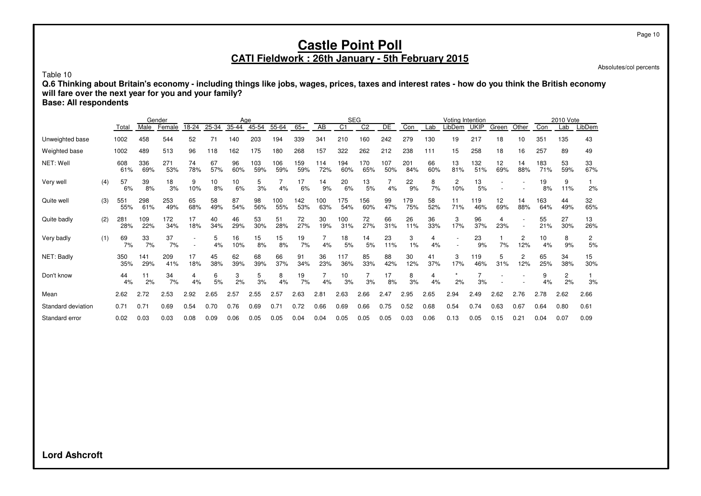Absolutes/col percents

Table 10

**Q.6 Thinking about Britain's economy - including things like jobs, wages, prices, taxes and interest rates - how do you think the British economy will fare over the next year for you and your family?**

**Base: All respondents**

|                    |     |            |            | Gender     |           |           |           | Age        |            |            |            |                | <b>SEG</b>      |            |            |           | Voting Intention |             |           |                       |                 | 2010 Vote            |           |
|--------------------|-----|------------|------------|------------|-----------|-----------|-----------|------------|------------|------------|------------|----------------|-----------------|------------|------------|-----------|------------------|-------------|-----------|-----------------------|-----------------|----------------------|-----------|
|                    |     | Total      | Male       | Female     | 18-24     | 25-34     | 35-44     | 45-54      | 55-64      | $65+$      | AB         | C <sub>1</sub> | $\overline{C2}$ | DE         | Con        | Lab       | _ibDem           | <b>UKIP</b> | Green     | Other                 | Con             | Lab                  | LibDem    |
| Unweighted base    |     | 1002       | 458        | 544        | 52        | 71        | 140       | 203        | 194        | 339        | 341        | 210            | 160             | 242        | 279        | 130       | 19               | 217         | 18        | 10                    | 35 <sup>2</sup> | 135                  | 43        |
| Weighted base      |     | 1002       | 489        | 513        | 96        | 118       | 162       | 175        | 180        | 268        | 157        | 322            | 262             | 212        | 238        | 111       | 15               | 258         | 18        | 16                    | 257             | 89                   | 49        |
| NET: Well          |     | 608<br>61% | 336<br>69% | 271<br>53% | 74<br>78% | 67<br>57% | 96<br>60% | 103<br>59% | 106<br>59% | 159<br>59% | 114<br>72% | 194<br>60%     | 170<br>65%      | 107<br>50% | 201<br>84% | 66<br>60% | 13<br>81%        | 132<br>51%  | 12<br>69% | 14<br>88%             | 183<br>71%      | 53<br>59%            | 33<br>67% |
| Very well          | (4) | 57<br>6%   | 39<br>8%   | 18<br>3%   | 9<br>10%  | 10<br>8%  | 10<br>6%  | 5<br>3%    | 4%         | 17<br>6%   | 14<br>9%   | 20<br>6%       | 13<br>5%        | 4%         | 22<br>9%   | 8<br>7%   | 2<br>10%         | 13<br>5%    |           |                       | 19<br>8%        | 9<br>11%             | 2%        |
| Quite well         | (3) | 551<br>55% | 298<br>61% | 253<br>49% | 65<br>68% | 58<br>49% | 87<br>54% | 98<br>56%  | 100<br>55% | 142<br>53% | 100<br>63% | 175<br>54%     | 156<br>60%      | 99<br>47%  | 179<br>75% | 58<br>52% | 11<br>71%        | 119<br>46%  | 12<br>69% | 14<br>88%             | 163<br>64%      | 44<br>49%            | 32<br>65% |
| Quite badly        | (2) | 281<br>28% | 109<br>22% | 172<br>34% | 17<br>18% | 40<br>34% | 46<br>29% | 53<br>30%  | 51<br>28%  | 72<br>27%  | 30<br>19%  | 100<br>31%     | 72<br>27%       | 66<br>31%  | 26<br>11%  | 36<br>33% | 3<br>17%         | 96<br>37%   | 4<br>23%  |                       | 55<br>21%       | 27<br>30%            | 13<br>26% |
| Very badly         | (1) | 69<br>7%   | 33<br>7%   | 37<br>7%   |           | 5<br>4%   | 16<br>10% | 15<br>8%   | 15<br>8%   | 19<br>7%   | 4%         | 18<br>5%       | 14<br>5%        | 23<br>11%  | 3<br>1%    | 4<br>4%   |                  | 23<br>9%    | 7%        | 2<br>12%              | 10<br>4%        | 8<br>9%              | 2<br>5%   |
| NET: Badly         |     | 350<br>35% | 141<br>29% | 209<br>41% | 17<br>18% | 45<br>38% | 62<br>39% | 68<br>39%  | 66<br>37%  | 91<br>34%  | 36<br>23%  | 117<br>36%     | 85<br>33%       | 88<br>42%  | 30<br>12%  | 41<br>37% | 3<br>17%         | 119<br>46%  | 5<br>31%  | $\overline{c}$<br>12% | 65<br>25%       | 34<br>38%            | 15<br>30% |
| Don't know         |     | 44<br>4%   | 11<br>2%   | 34<br>7%   | 4%        | 6<br>5%   | 3<br>2%   | 5<br>3%    | 8<br>4%    | 19<br>7%   | 7<br>4%    | 10<br>3%       | 3%              | 17<br>8%   | 8<br>3%    | 4<br>4%   | 2%               | 3%          |           |                       | 9<br>4%         | $\overline{2}$<br>2% | 3%        |
| Mean               |     | 2.62       | 2.72       | 2.53       | 2.92      | 2.65      | 2.57      | 2.55       | 2.57       | 2.63       | 2.81       | 2.63           | 2.66            | 2.47       | 2.95       | 2.65      | 2.94             | 2.49        | 2.62      | 2.76                  | 2.78            | 2.62                 | 2.66      |
| Standard deviation |     | 0.71       | 0.71       | 0.69       | 0.54      | 0.70      | 0.76      | 0.69       | 0.71       | 0.72       | 0.66       | 0.69           | 0.66            | 0.75       | 0.52       | 0.68      | 0.54             | 0.74        | 0.63      | 0.67                  | 0.64            | 0.80                 | 0.61      |
| Standard error     |     | 0.02       | 0.03       | 0.03       | 0.08      | 0.09      | 0.06      | 0.05       | 0.05       | 0.04       | 0.04       | 0.05           | 0.05            | 0.05       | 0.03       | 0.06      | 0.13             | 0.05        | 0.15      | 0.21                  | 0.04            | 0.07                 | 0.09      |

**Lord Ashcroft**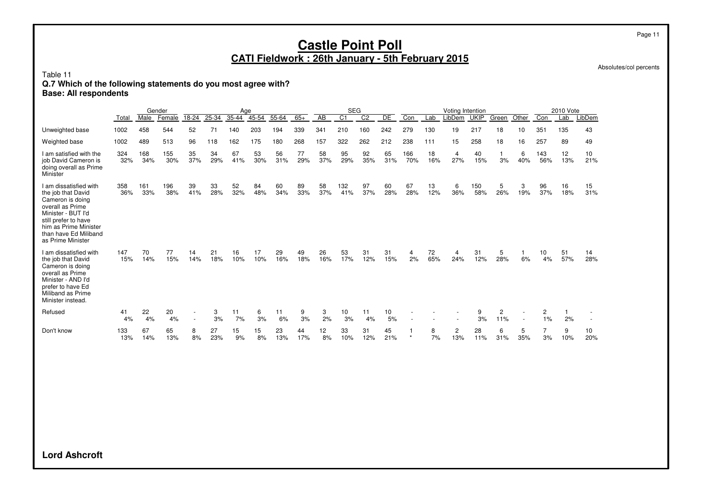Absolutes/col percents

Table 11

#### **Q.7 Which of the following statements do you most agree with?**

**Base: All respondents**

|                                                                                                                                                                                                           |            |             | Gender     |           |           | Aae       |           |           |           |                 | <b>SEG</b>       |                |           |                      |           | Voting Intention      |             |          |          |            | 2010 Vote |           |
|-----------------------------------------------------------------------------------------------------------------------------------------------------------------------------------------------------------|------------|-------------|------------|-----------|-----------|-----------|-----------|-----------|-----------|-----------------|------------------|----------------|-----------|----------------------|-----------|-----------------------|-------------|----------|----------|------------|-----------|-----------|
|                                                                                                                                                                                                           | Total      | <b>Male</b> | Female     | 18-24     | $25 - 34$ | $35 - 44$ | $45 - 54$ | $55 - 64$ | $65+$     | $\overline{AB}$ | $\overline{C}$ 1 | C <sub>2</sub> | DE        | Con                  | Lab       | LibDem                | <b>UKIP</b> | Green    | Other    | Con        | Lab       | LibDem    |
| Unweighted base                                                                                                                                                                                           | 1002       | 458         | 544        | 52        | 71        | 140       | 203       | 194       | 339       | 341             | 210              | 160            | 242       | 279                  | 130       | 19                    | 217         | 18       | 10       | 351        | 135       | 43        |
| Weighted base                                                                                                                                                                                             | 1002       | 489         | 513        | 96        | 118       | 162       | 175       | 180       | 268       | 157             | 322              | 262            | 212       | 238                  | 111       | 15                    | 258         | 18       | 16       | 257        | 89        | 49        |
| I am satisfied with the<br>job David Cameron is<br>doing overall as Prime<br>Minister                                                                                                                     | 324<br>32% | 168<br>34%  | 155<br>30% | 35<br>37% | 34<br>29% | 67<br>41% | 53<br>30% | 56<br>31% | 77<br>29% | 58<br>37%       | 95<br>29%        | 92<br>35%      | 65<br>31% | 166<br>70%           | 18<br>16% | $\overline{4}$<br>27% | 40<br>15%   | 1<br>3%  | 6<br>40% | 143<br>56% | 12<br>13% | 10<br>21% |
| I am dissatisfied with<br>the job that David<br>Cameron is doing<br>overall as Prime<br>Minister - BUT I'd<br>still prefer to have<br>him as Prime Minister<br>than have Ed Miliband<br>as Prime Minister | 358<br>36% | 161<br>33%  | 196<br>38% | 39<br>41% | 33<br>28% | 52<br>32% | 84<br>48% | 60<br>34% | 89<br>33% | 58<br>37%       | 132<br>41%       | 97<br>37%      | 60<br>28% | 67<br>28%            | 13<br>12% | 6<br>36%              | 150<br>58%  | 5<br>26% | 3<br>19% | 96<br>37%  | 16<br>18% | 15<br>31% |
| I am dissatisfied with<br>the job that David<br>Cameron is doing<br>overall as Prime<br>Minister - AND I'd<br>prefer to have Ed<br>Miliband as Prime<br>Minister instead.                                 | 147<br>15% | 70<br>14%   | 77<br>15%  | 14<br>14% | 21<br>18% | 16<br>10% | 17<br>10% | 29<br>16% | 49<br>18% | 26<br>16%       | 53<br>17%        | 31<br>12%      | 31<br>15% | 4<br>2%              | 72<br>65% | 4<br>24%              | 31<br>12%   | 5<br>28% | 6%       | 10<br>4%   | 51<br>57% | 14<br>28% |
| Refused                                                                                                                                                                                                   | 41<br>4%   | 22<br>4%    | 20<br>4%   | $\sim$    | 3<br>3%   | 11<br>7%  | 6<br>3%   | 11<br>6%  | 9<br>3%   | 3<br>2%         | 10<br>3%         | 11<br>4%       | 10<br>5%  |                      |           |                       | 9<br>3%     | 2<br>11% | $\sim$   | 2<br>1%    | 2%        |           |
| Don't know                                                                                                                                                                                                | 133<br>13% | 67<br>14%   | 65<br>13%  | 8<br>8%   | 27<br>23% | 15<br>9%  | 15<br>8%  | 23<br>13% | 44<br>17% | 12<br>8%        | 33<br>10%        | 31<br>12%      | 45<br>21% | $\ddot{\phantom{1}}$ | 8<br>7%   | $\overline{2}$<br>13% | 28<br>11%   | 6<br>31% | 5<br>35% | 3%         | 9<br>10%  | 10<br>20% |

**Lord Ashcroft**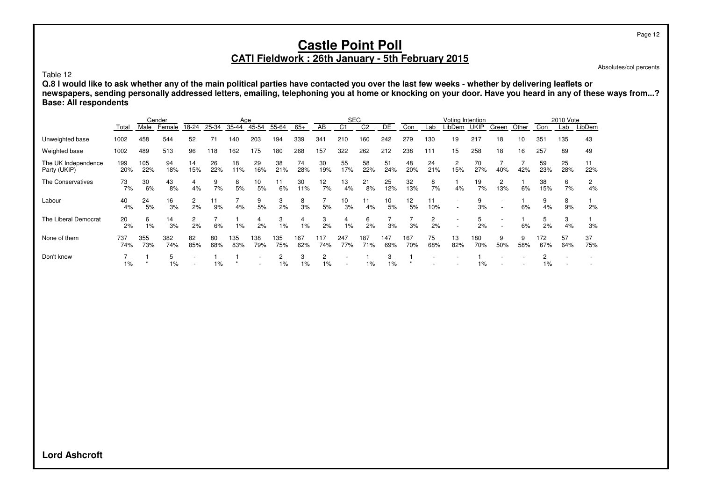Absolutes/col percents

Table 12

**Q.8 I would like to ask whether any of the main political parties have contacted you over the last few weeks - whether by delivering leaflets or newspapers, sending personally addressed letters, emailing, telephoning you at home or knocking on your door. Have you heard in any of these ways from...? Base: All respondents**

|                                     |            |            | Gender     |           |           | Age        |            |                      |            |                      | <b>SEG</b>     |                |            |            |           | Voting Intention |             |          |          |            | 2010 Vote |           |
|-------------------------------------|------------|------------|------------|-----------|-----------|------------|------------|----------------------|------------|----------------------|----------------|----------------|------------|------------|-----------|------------------|-------------|----------|----------|------------|-----------|-----------|
|                                     | Total      | Male       | Female     | 18-24     | 25-34     | $35 - 44$  | 45-54      | 55-64                | $65+$      | AB                   | C <sub>1</sub> | C <sub>2</sub> | DE         | Con        | Lab       | LibDem           | <b>UKIP</b> | Green    | Other    | Con        | Lab       | LibDem    |
| Unweighted base                     | 1002       | 458        | 544        | 52        | 71        | 140        | 203        | 194                  | 339        | 341                  | 210            | 160            | 242        | 279        | 130       | 19               | 217         | 18       | 10       | 351        | 135       | 43        |
| Weighted base                       | 1002       | 489        | 513        | 96        | 118       | 162        | 175        | 180                  | 268        | 157                  | 322            | 262            | 212        | 238        | 111       | 15               | 258         | 18       | 16       | 257        | 89        | 49        |
| The UK Independence<br>Party (UKIP) | 199<br>20% | 105<br>22% | 94<br>18%  | 14<br>15% | 26<br>22% | 18<br>11%  | 29<br>16%  | 38<br>21%            | 74<br>28%  | 30<br>19%            | 55<br>17%      | 58<br>22%      | 51<br>24%  | 48<br>20%  | 24<br>21% | 2<br>15%         | 70<br>27%   | 40%      | 42%      | 59<br>23%  | 25<br>28% | 11<br>22% |
| The Conservatives                   | 73<br>7%   | 30<br>6%   | 43<br>8%   | 4<br>4%   | 9<br>7%   | 8<br>5%    | 10<br>5%   | 11<br>6%             | 30<br>11%  | 12<br>7%             | 13<br>4%       | 21<br>8%       | 25<br>12%  | 32<br>13%  | 8<br>7%   | 4%               | 19<br>7%    | 2<br>13% | 6%       | 38<br>15%  | 6<br>7%   | 2<br>4%   |
| Labour                              | 40<br>4%   | 24<br>5%   | 16<br>3%   | 2<br>2%   | 11<br>9%  | 4%         | 9<br>5%    | 3<br>2%              | 8<br>3%    | 5%                   | 10<br>3%       | 11<br>4%       | 10<br>5%   | 12<br>5%   | 11<br>10% |                  | 9<br>3%     |          | 6%       | 9<br>4%    | 8<br>9%   | 2%        |
| The Liberal Democrat                | 20<br>2%   | 6<br>1%    | 14<br>3%   | 2%        | 6%        | 1%         | 4<br>2%    | 3<br>$1\%$           | 4<br>1%    | 3<br>2%              | 4<br>1%        | 6<br>2%        | 3%         | 3%         | 2<br>2%   |                  | 5<br>2%     |          | 6%       | 5<br>2%    | 3<br>4%   | 3%        |
| None of them                        | 737<br>74% | 355<br>73% | 382<br>74% | 82<br>85% | 80<br>68% | 135<br>83% | 138<br>79% | 135<br>75%           | 167<br>62% | 117<br>74%           | 247<br>77%     | 187<br>71%     | 147<br>69% | 167<br>70% | 75<br>68% | 13<br>82%        | 180<br>70%  | 9<br>50% | 9<br>58% | 172<br>67% | 57<br>64% | 37<br>75% |
| Don't know                          | 1%         |            | 5<br>$1\%$ |           | 1%        |            |            | $\overline{2}$<br>1% | 3<br>$1\%$ | $\overline{c}$<br>1% |                | 1%             | 3<br>$1\%$ |            |           |                  | $1\%$       |          |          | $1\%$      |           |           |

**Lord Ashcroft**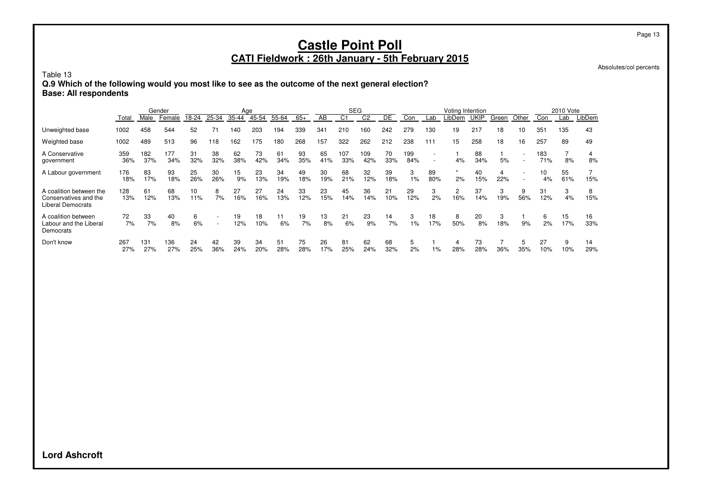# **Castle Point Poll**

#### **CATI Fieldwork : 26th January - 5th February 2015**

Absolutes/col percents

Page 13

Table 13

**Q.9 Which of the following would you most like to see as the outcome of the next general election? Base: All respondents**

|                                                                              | Gender     |            |            | Age       |                          |           |           |           |           | <b>SEG</b> |            |                |           | Voting Intention |                                                      |               |             |          | 2010 Vote                                            |            |           |           |
|------------------------------------------------------------------------------|------------|------------|------------|-----------|--------------------------|-----------|-----------|-----------|-----------|------------|------------|----------------|-----------|------------------|------------------------------------------------------|---------------|-------------|----------|------------------------------------------------------|------------|-----------|-----------|
|                                                                              | Total      | Male       | Female     | 18-24     | 25-34                    | 35-44     | 45-54     | 55-64     | $65+$     | AB         | C1         | C <sub>2</sub> | DE        | Con              | Lab                                                  | LibDem        | <b>UKIP</b> | Green    | Other                                                | Con        | Lab       | LibDem    |
| Unweighted base                                                              | 1002       | 458        | 544        | 52        |                          | 140       | 203       | 194       | 339       | 341        | 210        | 160            | 242       | 279              | 130                                                  | 19            | 217         | 18       | 10                                                   | 351        | 135       | 43        |
| Weighted base                                                                | 1002       | 489        | 513        | 96        | 118                      | 162       | 175       | 180       | 268       | 157        | 322        | 262            | 212       | 238              | 111                                                  | 15            | 258         | 18       | 16                                                   | 257        | 89        | 49        |
| A Conservative<br>government                                                 | 359<br>36% | 182<br>37% | 177<br>34% | 31<br>32% | 38<br>32%                | 62<br>38% | 73<br>42% | 61<br>34% | 93<br>35% | 65<br>41%  | 107<br>33% | 109<br>42%     | 70<br>33% | 199<br>84%       | $\overline{\phantom{a}}$<br>$\overline{\phantom{a}}$ | 4%            | 88<br>34%   | 5%       | $\overline{\phantom{a}}$<br>$\overline{\phantom{a}}$ | 183<br>71% | 7<br>8%   | 8%        |
| A Labour government                                                          | 176<br>18% | 83<br>17%  | 93<br>18%  | 25<br>26% | 30<br>26%                | 15<br>9%  | 23<br>13% | 34<br>19% | 49<br>18% | 30<br>19%  | 68<br>21%  | 32<br>12%      | 39<br>18% | 3<br>$1\%$       | 89<br>80%                                            | $\star$<br>2% | 40<br>15%   | 4<br>22% | $\overline{\phantom{a}}$                             | 10<br>4%   | 55<br>61% | 15%       |
| A coalition between the<br>Conservatives and the<br><b>Liberal Democrats</b> | 128<br>13% | 61<br>12%  | 68<br>13%  | 10<br>11% | 8<br>7%                  | 27<br>16% | 27<br>16% | 24<br>13% | 33<br>12% | 23<br>15%  | 45<br>14%  | 36<br>14%      | 21<br>10% | 29<br>12%        | 3<br>2%                                              | 2<br>16%      | 37<br>14%   | 3<br>19% | 9<br>56%                                             | 31<br>12%  | 3<br>4%   | 8<br>15%  |
| A coalition between<br>Labour and the Liberal<br>Democrats                   | 72<br>7%   | 33<br>7%   | 40<br>8%   | 6<br>6%   | $\overline{\phantom{a}}$ | 19<br>12% | 18<br>10% | 11<br>6%  | 19<br>7%  | 13<br>8%   | 21<br>6%   | 23<br>9%       | 14<br>7%  | 3<br>1%          | 18<br>17%                                            | 8<br>50%      | 20<br>8%    | 3<br>18% | 9%                                                   | 6<br>2%    | 15<br>17% | 16<br>33% |
| Don't know                                                                   | 267<br>27% | 131<br>27% | 136<br>27% | 24<br>25% | 42<br>36%                | 39<br>24% | 34<br>20% | 51<br>28% | 75<br>28% | 26<br>17%  | 81<br>25%  | 62<br>24%      | 68<br>32% | 5<br>2%          | 1%                                                   | 4<br>28%      | 73<br>28%   | 36%      | 5<br>35%                                             | 27<br>10%  | 9<br>10%  | 14<br>29% |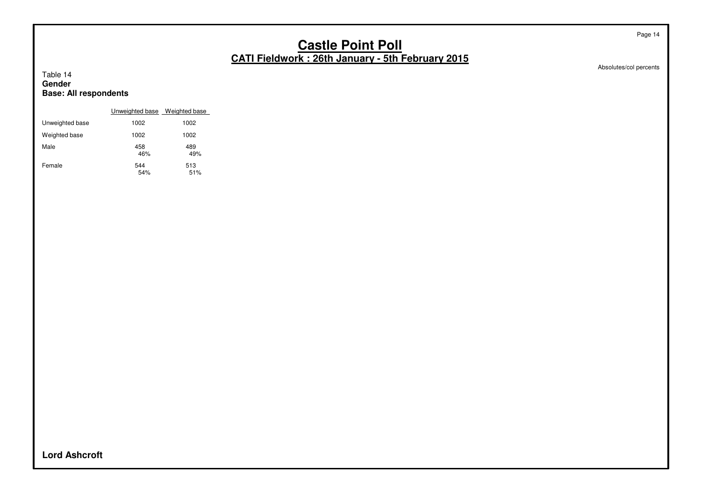Absolutes/col percents

#### Table 14 **Gender Base: All respondents**

|                 | Unweighted base Weighted base |            |
|-----------------|-------------------------------|------------|
| Unweighted base | 1002                          | 1002       |
| Weighted base   | 1002                          | 1002       |
| Male            | 458<br>46%                    | 489<br>49% |
| Female          | 544<br>54%                    | 513<br>51% |

**Lord Ashcroft**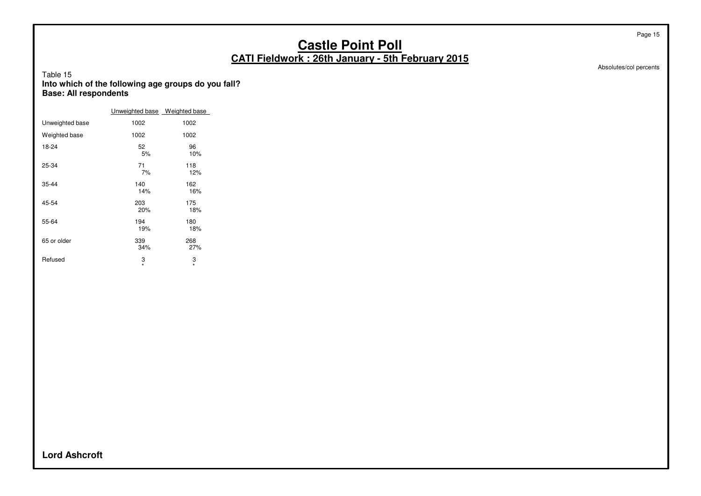Absolutes/col percents

Page 15

#### Table 15 **Into which of the following age groups do you fall? Base: All respondents**

|                 | Unweighted base Weighted base |              |
|-----------------|-------------------------------|--------------|
| Unweighted base | 1002                          | 1002         |
| Weighted base   | 1002                          | 1002         |
| 18-24           | 52<br>5%                      | 96<br>10%    |
| 25-34           | 71<br>7%                      | 118<br>12%   |
| 35-44           | 140<br>14%                    | 162<br>16%   |
| 45-54           | 203<br>20%                    | 175<br>18%   |
| 55-64           | 194<br>19%                    | 180<br>18%   |
| 65 or older     | 339<br>34%                    | 268<br>27%   |
| Refused         | 3<br>$\star$                  | 3<br>$\star$ |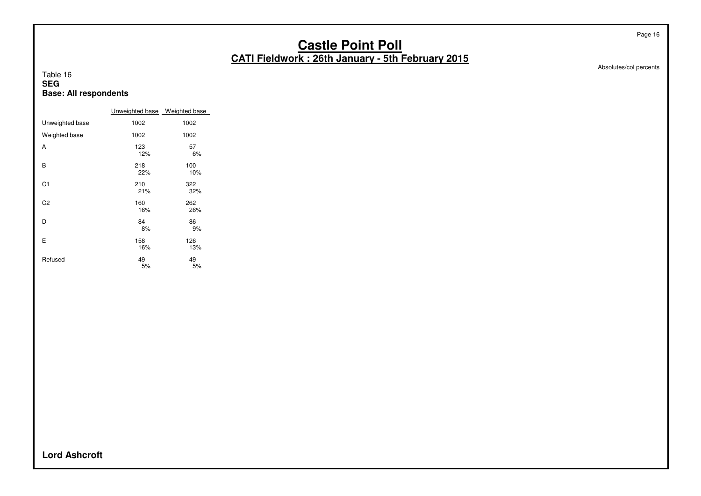Absolutes/col percents

Page 16

#### Table 16 **SEG Base: All respondents**

|                 | Unweighted base Weighted base |            |
|-----------------|-------------------------------|------------|
| Unweighted base | 1002                          | 1002       |
| Weighted base   | 1002                          | 1002       |
| A               | 123<br>12%                    | 57<br>6%   |
| B               | 218<br>22%                    | 100<br>10% |
| C <sub>1</sub>  | 210<br>21%                    | 322<br>32% |
| C2              | 160<br>16%                    | 262<br>26% |
| D               | 84<br>8%                      | 86<br>9%   |
| E               | 158<br>16%                    | 126<br>13% |
| Refused         | 49<br>5%                      | 49<br>5%   |